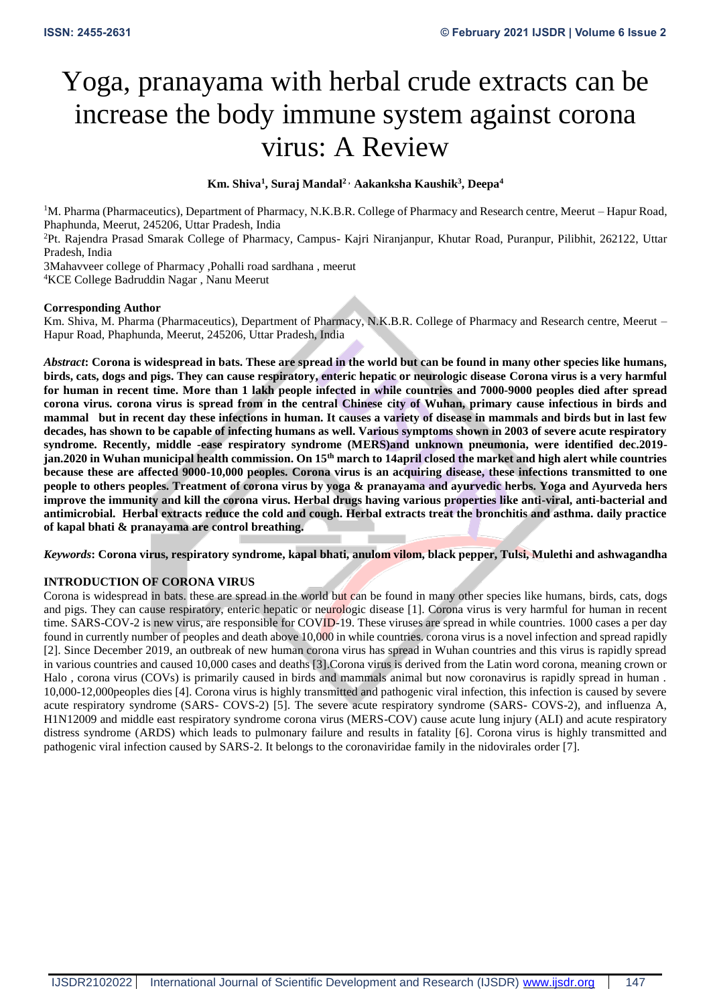# Yoga, pranayama with herbal crude extracts can be increase the body immune system against corona virus: A Review

## **Km. Shiva<sup>1</sup> , Suraj Mandal<sup>2</sup> , Aakanksha Kaushik<sup>3</sup> , Deepa<sup>4</sup>**

<sup>1</sup>M. Pharma (Pharmaceutics), Department of Pharmacy, N.K.B.R. College of Pharmacy and Research centre, Meerut – Hapur Road, Phaphunda, Meerut, 245206, Uttar Pradesh, India

<sup>2</sup>Pt. Rajendra Prasad Smarak College of Pharmacy, Campus- Kajri Niranjanpur, Khutar Road, Puranpur, Pilibhit, 262122, Uttar Pradesh, India

3Mahavveer college of Pharmacy ,Pohalli road sardhana , meerut

<sup>4</sup>KCE College Badruddin Nagar , Nanu Meerut

## **Corresponding Author**

Km. Shiva, M. Pharma (Pharmaceutics), Department of Pharmacy, N.K.B.R. College of Pharmacy and Research centre, Meerut – Hapur Road, Phaphunda, Meerut, 245206, Uttar Pradesh, India

*Abstract***: Corona is widespread in bats. These are spread in the world but can be found in many other species like humans, birds, cats, dogs and pigs. They can cause respiratory, enteric hepatic or neurologic disease Corona virus is a very harmful for human in recent time. More than 1 lakh people infected in while countries and 7000-9000 peoples died after spread corona virus. corona virus is spread from in the central Chinese city of Wuhan, primary cause infectious in birds and mammal but in recent day these infections in human. It causes a variety of disease in mammals and birds but in last few decades, has shown to be capable of infecting humans as well. Various symptoms shown in 2003 of severe acute respiratory syndrome. Recently, middle -ease respiratory syndrome (MERS)and unknown pneumonia, were identified dec.2019 jan.2020 in Wuhan municipal health commission. On 15th march to 14april closed the market and high alert while countries because these are affected 9000-10,000 peoples. Corona virus is an acquiring disease, these infections transmitted to one people to others peoples. Treatment of corona virus by yoga & pranayama and ayurvedic herbs. Yoga and Ayurveda hers improve the immunity and kill the corona virus. Herbal drugs having various properties like anti-viral, anti-bacterial and antimicrobial. Herbal extracts reduce the cold and cough. Herbal extracts treat the bronchitis and asthma. daily practice of kapal bhati & pranayama are control breathing.**

*Keywords***: Corona virus, respiratory syndrome, kapal bhati, anulom vilom, black pepper, Tulsi, Mulethi and ashwagandha** 

## **INTRODUCTION OF CORONA VIRUS**

Corona is widespread in bats. these are spread in the world but can be found in many other species like humans, birds, cats, dogs and pigs. They can cause respiratory, enteric hepatic or neurologic disease [1]. Corona virus is very harmful for human in recent time. SARS-COV-2 is new virus, are responsible for COVID-19. These viruses are spread in while countries. 1000 cases a per day found in currently number of peoples and death above 10,000 in while countries. corona virus is a novel infection and spread rapidly [2]. Since December 2019, an outbreak of new human corona virus has spread in Wuhan countries and this virus is rapidly spread in various countries and caused 10,000 cases and deaths [3].Corona virus is derived from the Latin word corona, meaning crown or Halo , corona virus (COVs) is primarily caused in birds and mammals animal but now coronavirus is rapidly spread in human . 10,000-12,000peoples dies [4]. Corona virus is highly transmitted and pathogenic viral infection, this infection is caused by severe acute respiratory syndrome (SARS- COVS-2) [5]. The severe acute respiratory syndrome (SARS- COVS-2), and influenza A, H1N12009 and middle east respiratory syndrome corona virus (MERS-COV) cause acute lung injury (ALI) and acute respiratory distress syndrome (ARDS) which leads to pulmonary failure and results in fatality [6]. Corona virus is highly transmitted and pathogenic viral infection caused by SARS-2. It belongs to the coronaviridae family in the nidovirales order [7].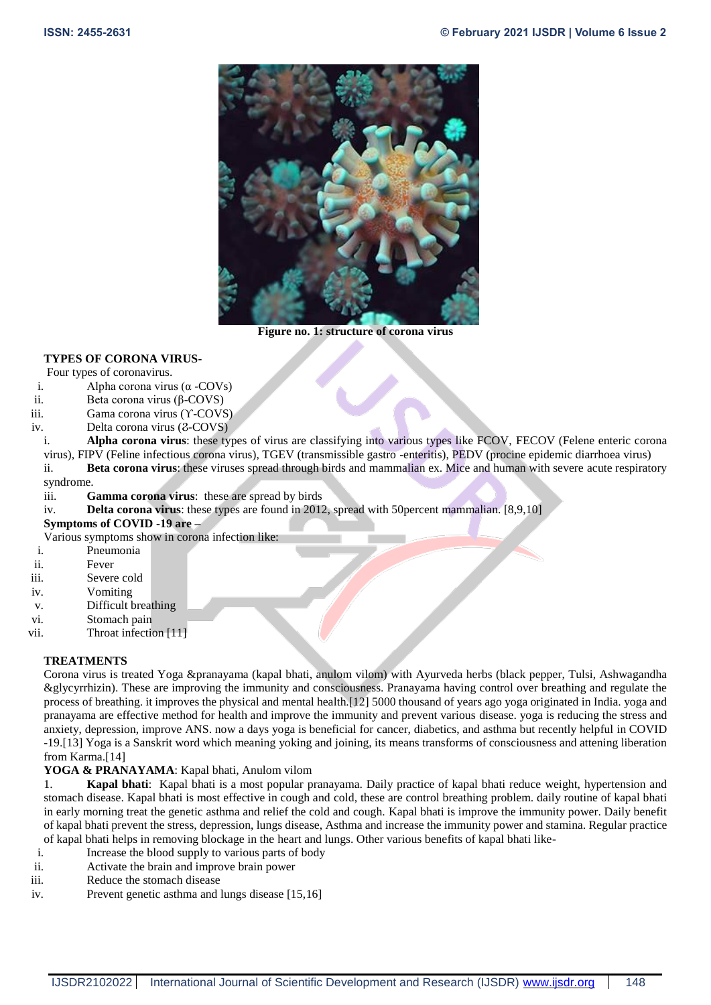

**Figure no. 1: structure of corona virus**

# **TYPES OF CORONA VIRUS-**

## Four types of coronavirus.

- i. Alpha corona virus  $(\alpha$  -COVs)
- ii. Beta corona virus (β-COVS)
- iii. Gama corona virus (ϒ-COVS)
- iv. Delta corona virus (2-COVS)
- i. **Alpha corona virus**: these types of virus are classifying into various types like FCOV, FECOV (Felene enteric corona virus), FIPV (Feline infectious corona virus), TGEV (transmissible gastro -enteritis), PEDV (procine epidemic diarrhoea virus) ii. **Beta corona virus**: these viruses spread through birds and mammalian ex. Mice and human with severe acute respiratory
- syndrome.
- iii. **Gamma corona virus**: these are spread by birds
- iv. **Delta corona virus**: these types are found in 2012, spread with 50percent mammalian. [8,9,10]

## **Symptoms of COVID -19 are –**

Various symptoms show in corona infection like:

- i. Pneumonia
- ii. Fever
- iii. Severe cold
- iv. Vomiting
- v. Difficult breathing
- vi. Stomach pain
- vii. Throat infection [11]

# **TREATMENTS**

Corona virus is treated Yoga &pranayama (kapal bhati, anulom vilom) with Ayurveda herbs (black pepper, Tulsi, Ashwagandha &glycyrrhizin). These are improving the immunity and consciousness. Pranayama having control over breathing and regulate the process of breathing. it improves the physical and mental health.[12] 5000 thousand of years ago yoga originated in India. yoga and pranayama are effective method for health and improve the immunity and prevent various disease. yoga is reducing the stress and anxiety, depression, improve ANS. now a days yoga is beneficial for cancer, diabetics, and asthma but recently helpful in COVID -19.[13] Yoga is a Sanskrit word which meaning yoking and joining, its means transforms of consciousness and attening liberation from Karma.[14]

# **YOGA & PRANAYAMA**: Kapal bhati, Anulom vilom

1. **Kapal bhati**: Kapal bhati is a most popular pranayama. Daily practice of kapal bhati reduce weight, hypertension and stomach disease. Kapal bhati is most effective in cough and cold, these are control breathing problem. daily routine of kapal bhati in early morning treat the genetic asthma and relief the cold and cough. Kapal bhati is improve the immunity power. Daily benefit of kapal bhati prevent the stress, depression, lungs disease, Asthma and increase the immunity power and stamina. Regular practice of kapal bhati helps in removing blockage in the heart and lungs. Other various benefits of kapal bhati like-

- i. Increase the blood supply to various parts of body
- ii. Activate the brain and improve brain power
- iii. Reduce the stomach disease
- iv. Prevent genetic asthma and lungs disease [15,16]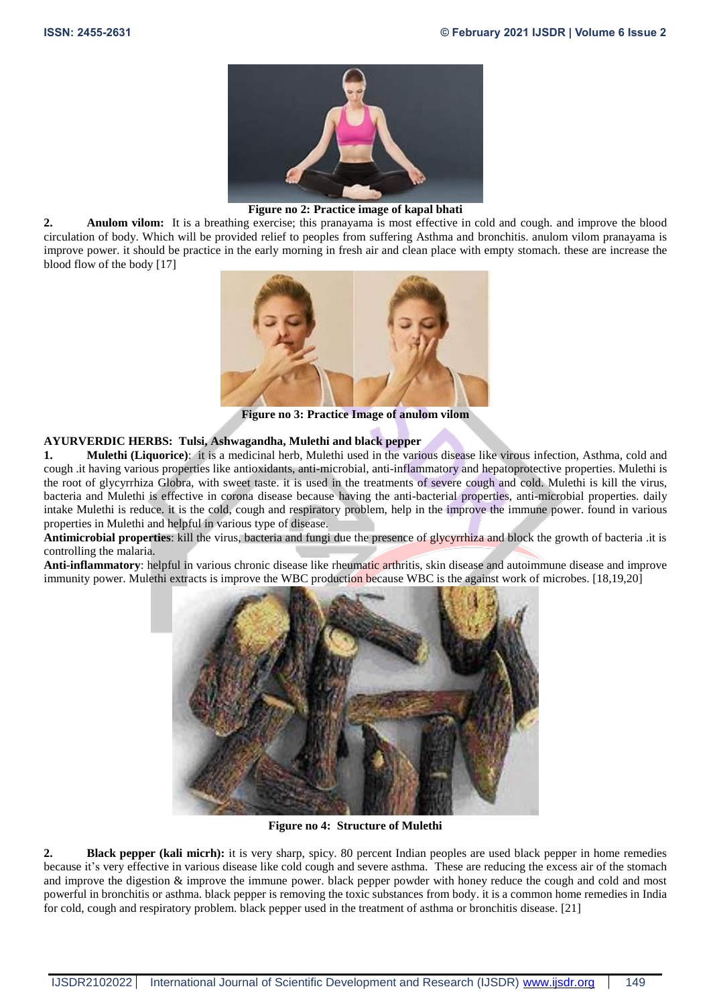

#### **Figure no 2: Practice image of kapal bhati**

**2. Anulom vilom:** It is a breathing exercise; this pranayama is most effective in cold and cough. and improve the blood circulation of body. Which will be provided relief to peoples from suffering Asthma and bronchitis. anulom vilom pranayama is improve power. it should be practice in the early morning in fresh air and clean place with empty stomach. these are increase the blood flow of the body [17]



**Figure no 3: Practice Image of anulom vilom**

## **AYURVERDIC HERBS: Tulsi, Ashwagandha, Mulethi and black pepper**

**1. Mulethi (Liquorice)**: it is a medicinal herb, Mulethi used in the various disease like virous infection, Asthma, cold and cough .it having various properties like antioxidants, anti-microbial, anti-inflammatory and hepatoprotective properties. Mulethi is the root of glycyrrhiza Globra, with sweet taste. it is used in the treatments of severe cough and cold. Mulethi is kill the virus, bacteria and Mulethi is effective in corona disease because having the anti-bacterial properties, anti-microbial properties. daily intake Mulethi is reduce. it is the cold, cough and respiratory problem, help in the improve the immune power. found in various properties in Mulethi and helpful in various type of disease.

**Antimicrobial properties**: kill the virus, bacteria and fungi due the presence of glycyrrhiza and block the growth of bacteria .it is controlling the malaria.

**Anti-inflammatory**: helpful in various chronic disease like rheumatic arthritis, skin disease and autoimmune disease and improve immunity power. Mulethi extracts is improve the WBC production because WBC is the against work of microbes. [18,19,20]



**Figure no 4: Structure of Mulethi**

**2. Black pepper (kali micrh):** it is very sharp, spicy. 80 percent Indian peoples are used black pepper in home remedies because it's very effective in various disease like cold cough and severe asthma. These are reducing the excess air of the stomach and improve the digestion & improve the immune power. black pepper powder with honey reduce the cough and cold and most powerful in bronchitis or asthma. black pepper is removing the toxic substances from body. it is a common home remedies in India for cold, cough and respiratory problem. black pepper used in the treatment of asthma or bronchitis disease. [21]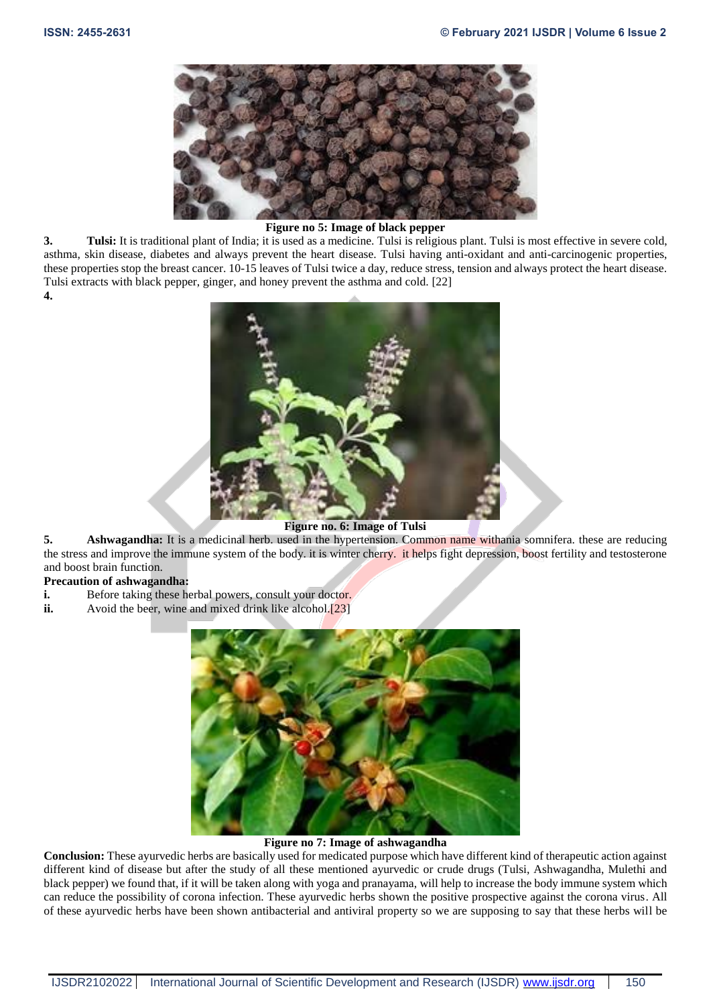

# **Figure no 5: Image of black pepper**

**3. Tulsi:** It is traditional plant of India; it is used as a medicine. Tulsi is religious plant. Tulsi is most effective in severe cold, asthma, skin disease, diabetes and always prevent the heart disease. Tulsi having anti-oxidant and anti-carcinogenic properties, these properties stop the breast cancer. 10-15 leaves of Tulsi twice a day, reduce stress, tension and always protect the heart disease. Tulsi extracts with black pepper, ginger, and honey prevent the asthma and cold. [22] **4.**



## **Figure no. 6: Image of Tulsi**

**5. Ashwagandha:** It is a medicinal herb. used in the hypertension. Common name withania somnifera. these are reducing the stress and improve the immune system of the body. it is winter cherry. it helps fight depression, boost fertility and testosterone and boost brain function.

# **Precaution of ashwagandha:**

- **i.** Before taking these herbal powers, consult your doctor.
- **ii.** Avoid the beer, wine and mixed drink like alcohol.<sup>[23]</sup>



# **Figure no 7: Image of ashwagandha**

**Conclusion:** These ayurvedic herbs are basically used for medicated purpose which have different kind of therapeutic action against different kind of disease but after the study of all these mentioned ayurvedic or crude drugs (Tulsi, Ashwagandha, Mulethi and black pepper) we found that, if it will be taken along with yoga and pranayama, will help to increase the body immune system which can reduce the possibility of corona infection. These ayurvedic herbs shown the positive prospective against the corona virus. All of these ayurvedic herbs have been shown antibacterial and antiviral property so we are supposing to say that these herbs will be